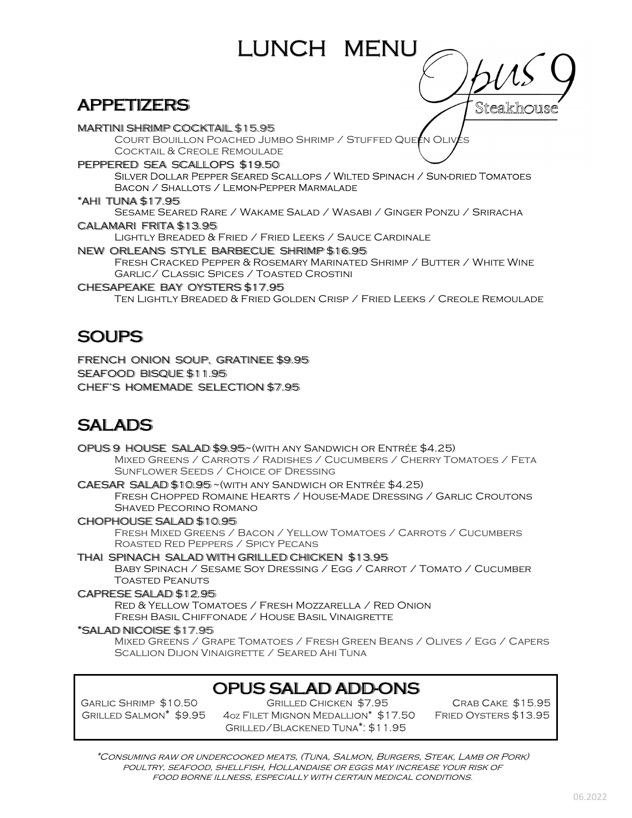# APPETIZERS

MARTINI SHRIMP COCKTAIL \$15.95 COURT BOUILLON POACHED JUMBO SHRIMP / STUFFED QUEEN OLIV Cocktail & Creole Remoulade PEPPERED SEA SCALLOPS \$19.50 SILVER DOLLAR PEPPER SEARED SCALLOPS / WILTED SPINACH / SUN-DRIED TOMATOES BACON / SHALLOTS / LEMON-PEPPER MARMALADE \*AHI TUNA \$17.95 Sesame Seared Rare / Wakame Salad / Wasabi / Ginger Ponzu / Sriracha CALAMARI FRITA \$13.95 Lightly Breaded & Fried / Fried Leeks / Sauce Cardinale NEW ORLEANS STYLE BARBECUE SHRIMP \$16.95 Fresh Cracked Pepper & Rosemary Marinated Shrimp / Butter / White Wine Garlic/ Classic Spices / Toasted Crostini CHESAPEAKE BAY OYSTERS \$17.95

LUNCH MENU

Ten Lightly Breaded & Fried Golden Crisp / Fried Leeks / Creole Remoulade

### **SOUPS**

FRENCH ONION SOUP, GRATINEE \$9.95 SEAFOOD BISQUE \$11.95 CHEF'S HOMEMADE SELECTION \$7.95

# SALADS

OPUS 9 HOUSE SALAD \$9.95~(with any Sandwich or Entrée \$4.25) Mixed Greens / Carrots / Radishes / Cucumbers / Cherry Tomatoes / Feta Sunflower Seeds / Choice of Dressing CAESAR SALAD \$10.95 ~(with any Sandwich or Entrée \$4.25)

 Fresh Chopped Romaine Hearts / House-Made Dressing / Garlic Croutons Shaved Pecorino Romano

CHOPHOUSE SALAD \$10.95 Fresh Mixed Greens / Bacon / Yellow Tomatoes / Carrots / Cucumbers Roasted Red Peppers / Spicy Pecans

THAI SPINACH SALAD WITH GRILLED CHICKEN \$13.95 Baby Spinach / Sesame Soy Dressing / Egg / Carrot / Tomato / Cucumber Toasted Peanuts

#### CAPRESE SALAD \$12.95

Red & Yellow Tomatoes / Fresh Mozzarella / Red Onion Fresh Basil Chiffonade / House Basil Vinaigrette

#### \*SALAD NICOISE \$17.95

 Mixed Greens / Grape Tomatoes / Fresh Green Beans / Olives / Egg / Capers Scallion Dijon Vinaigrette / Seared Ahi Tuna

### OPUS SALAD ADD-ONS

GARLIC SHRIMP \$10.50 GRILLED SALMON<sup>\*</sup> \$9.95

**GRILLED CHICKEN \$7.95** 4oz FILET MIGNON MEDALLION\* \$17.50 GRILLED/BLACKENED TUNA<sup>\*</sup>: \$11.95

CRAB CAKE \$15.95 FRIED OYSTERS \$13.95

Steakhousc

\*Consuming raw or undercooked meats, (Tuna, Salmon, Burgers, Steak, Lamb or Pork) poultry, seafood, shellfish, Hollandaise or eggs may increase your risk of food borne illness, especially with certain medical conditions.